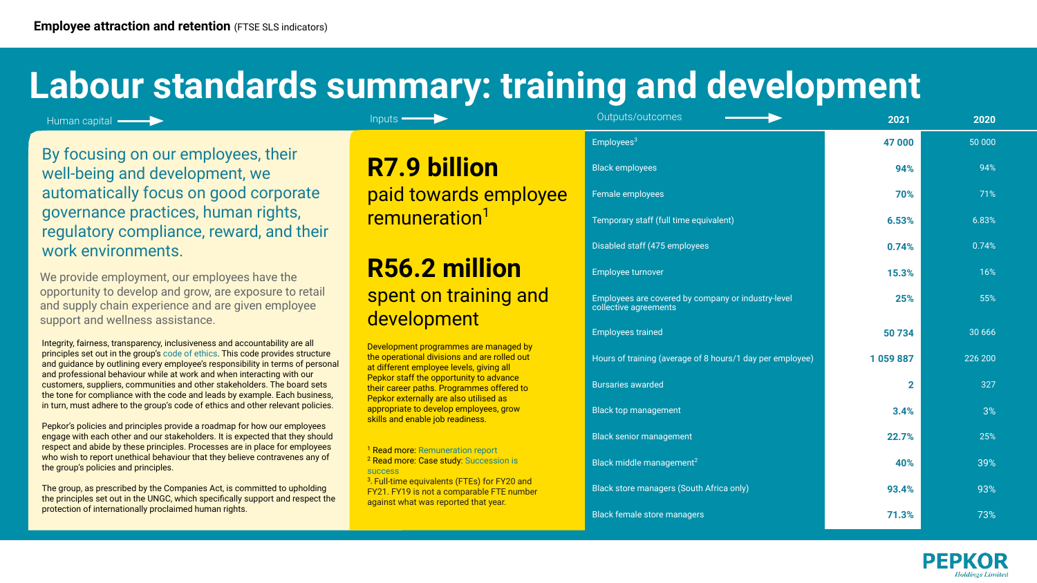Human capital —

## **Labour standards summary: training and development**

By focusing on our employees, their well-being and development, we automatically focus on good corporate governance practices, human rights, regulatory compliance, reward, and their work environments.

We provide employment, our employees have the opportunity to develop and grow, are exposure to retail and supply chain experience and are given employee support and wellness assistance.

Integrity, fairness, transparency, inclusiveness and accountability are all principles set out in the group's code of ethics. This code provides structure and guidance by outlining every employee's responsibility in terms of personal and professional behaviour while at work and when interacting with our customers, suppliers, communities and other stakeholders. The board sets the tone for compliance with the code and leads by example. Each business, in turn, must adhere to the group's code of ethics and other relevant policies.

Pepkor's policies and principles provide a roadmap for how our employees engage with each other and our stakeholders. It is expected that they should respect and abide by these principles. Processes are in place for employees who wish to report unethical behaviour that they believe contravenes any of the group's policies and principles.

The group, as prescribed by the Companies Act, is committed to upholding the principles set out in the UNGC, which specifically support and respect the protection of internationally proclaimed human rights.

## **R56.2 million**  spent on training and development

| Outputs/outcomes                                                            | 2021         | 2020     |
|-----------------------------------------------------------------------------|--------------|----------|
| Employees <sup>3</sup>                                                      | 47 000       | 50 000   |
| <b>Black employees</b>                                                      | 94%          | 94%      |
| Female employees                                                            | 70%          | 71%      |
| Temporary staff (full time equivalent)                                      | 6.53%        | 6.83%    |
| Disabled staff (475 employees                                               | 0.74%        | 0.74%    |
| Employee turnover                                                           | 15.3%        | 16%      |
| Employees are covered by company or industry-level<br>collective agreements | 25%          | 55%      |
| <b>Employees trained</b>                                                    | 50734        | 30 6 6 6 |
| Hours of training (average of 8 hours/1 day per employee)                   | 1059887      | 226 200  |
| <b>Bursaries awarded</b>                                                    | $\mathbf{2}$ | 327      |
| <b>Black top management</b>                                                 | 3.4%         | 3%       |
| <b>Black senior management</b>                                              | 22.7%        | 25%      |
| Black middle management <sup>2</sup>                                        | 40%          | 39%      |
| Black store managers (South Africa only)                                    | 93.4%        | 93%      |
| <b>Black female store managers</b>                                          | 71.3%        | 73%      |
|                                                                             |              |          |